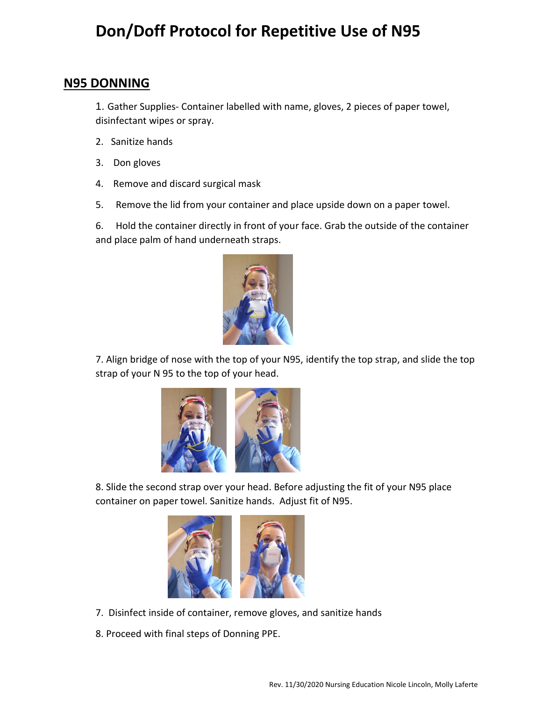## **Don/Doff Protocol for Repetitive Use of N95**

## **N95 DONNING**

1. Gather Supplies- Container labelled with name, gloves, 2 pieces of paper towel, disinfectant wipes or spray.

- 2. Sanitize hands
- 3. Don gloves
- 4. Remove and discard surgical mask
- 5. Remove the lid from your container and place upside down on a paper towel.

6. Hold the container directly in front of your face. Grab the outside of the container and place palm of hand underneath straps.



7. Align bridge of nose with the top of your N95, identify the top strap, and slide the top strap of your N 95 to the top of your head.



8. Slide the second strap over your head. Before adjusting the fit of your N95 place container on paper towel. Sanitize hands. Adjust fit of N95.



- 7. Disinfect inside of container, remove gloves, and sanitize hands
- 8. Proceed with final steps of Donning PPE.